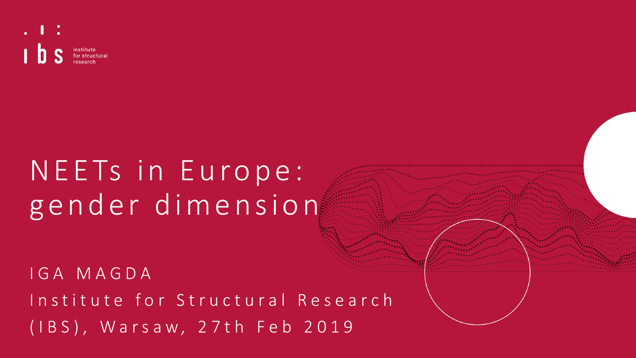

# N E E Ts in Europe: gender dimension

I G A M A G D A Institute for Structural Research ( I B S ) , W a r s a w, 2 7 t h F e b 2019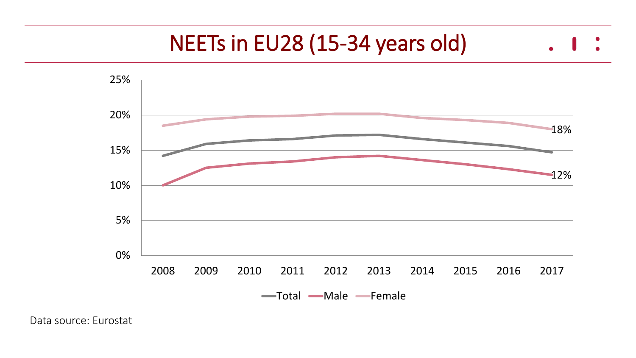## NEETs in EU28 (15-34 years old)



Data source: Eurostat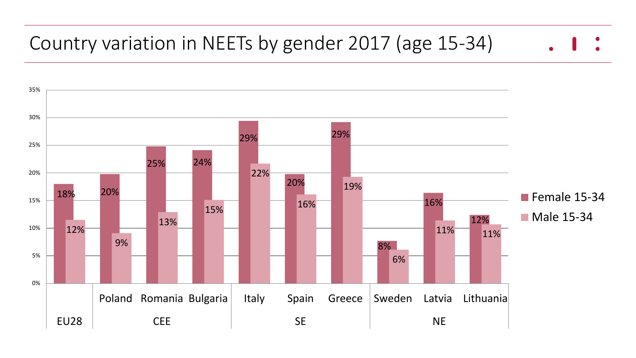#### Country variation in NEETs by gender 2017 (age 15-34)

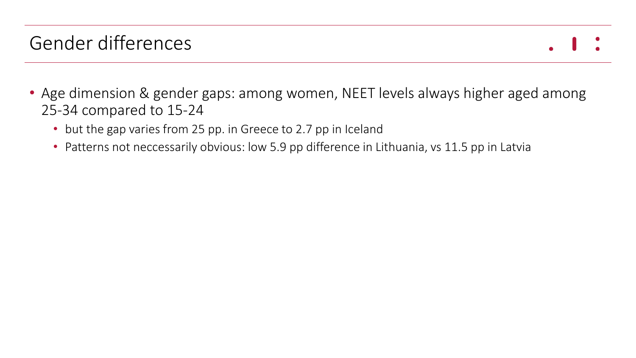### Gender differences

- 
- Age dimension & gender gaps: among women, NEET levels always higher aged among 25-34 compared to 15-24
	- but the gap varies from 25 pp. in Greece to 2.7 pp in Iceland
	- Patterns not neccessarily obvious: low 5.9 pp difference in Lithuania, vs 11.5 pp in Latvia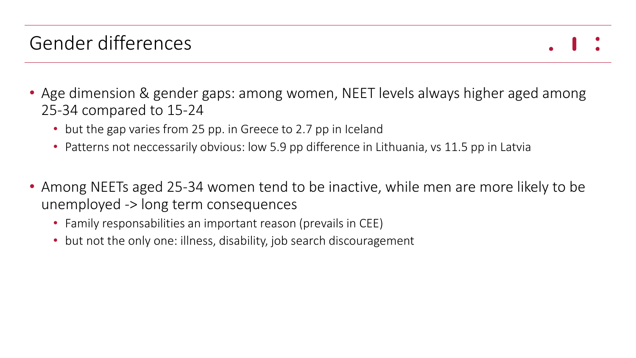### Gender differences

- Age dimension & gender gaps: among women, NEET levels always higher aged among 25-34 compared to 15-24
	- but the gap varies from 25 pp. in Greece to 2.7 pp in Iceland
	- Patterns not neccessarily obvious: low 5.9 pp difference in Lithuania, vs 11.5 pp in Latvia
- Among NEETs aged 25-34 women tend to be inactive, while men are more likely to be unemployed -> long term consequences
	- Family responsabilities an important reason (prevails in CEE)
	- but not the only one: illness, disability, job search discouragement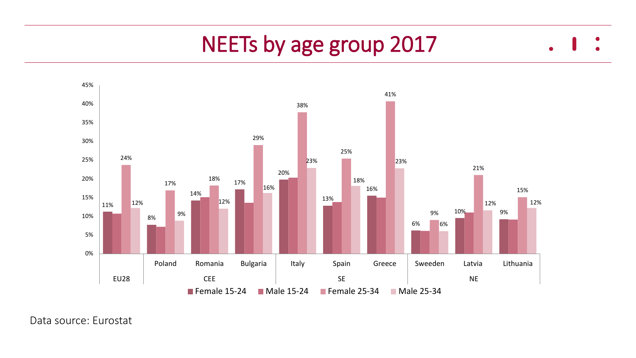#### NEETs by age group 2017  $\bullet$

 $\bullet$ 



Data source: Eurostat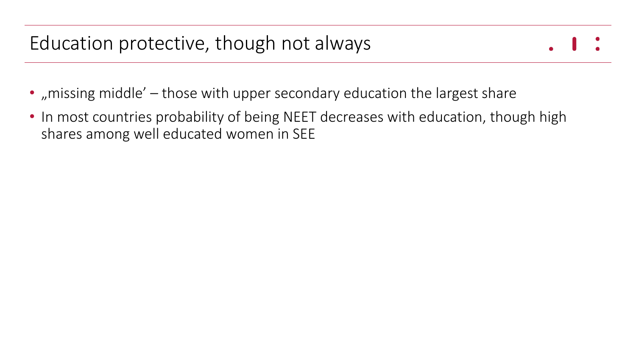- "missing middle'  $-$  those with upper secondary education the largest share
- In most countries probability of being NEET decreases with education, though high shares among well educated women in SEE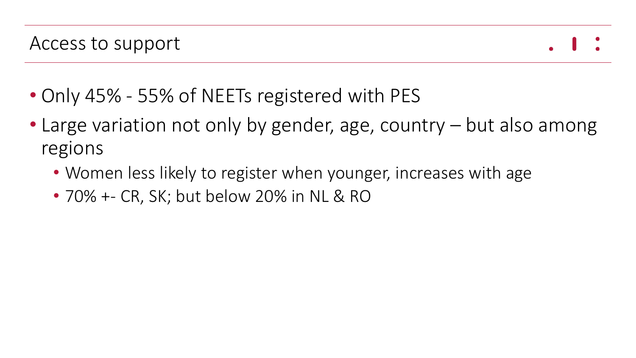

- Only 45% 55% of NEETs registered with PES
- Large variation not only by gender, age, country but also among regions
	- Women less likely to register when younger, increases with age
	- 70% +- CR, SK; but below 20% in NL & RO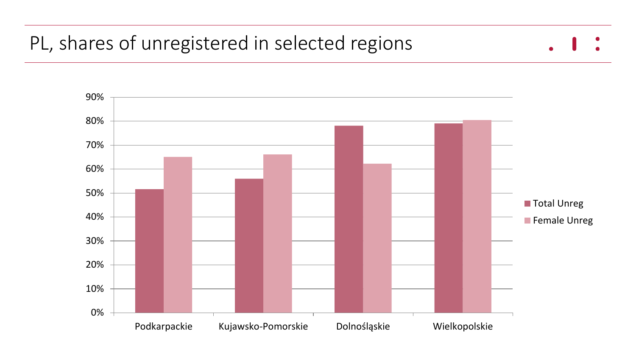#### PL, shares of unregistered in selected regions

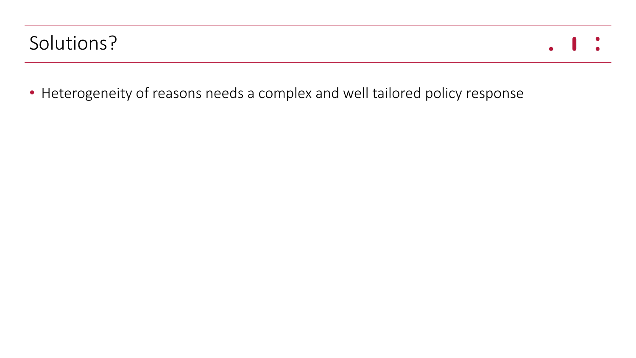#### Solutions?

• Heterogeneity of reasons needs a complex and well tailored policy response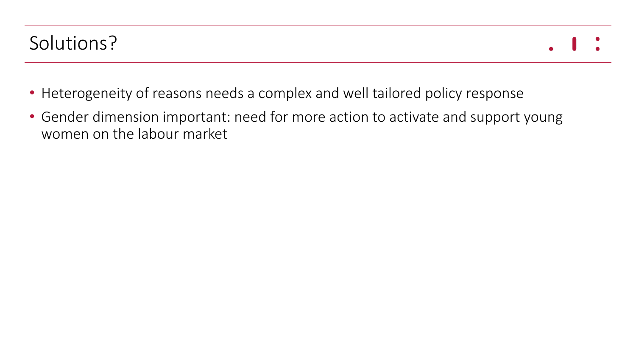- Heterogeneity of reasons needs a complex and well tailored policy response
- Gender dimension important: need for more action to activate and support young women on the labour market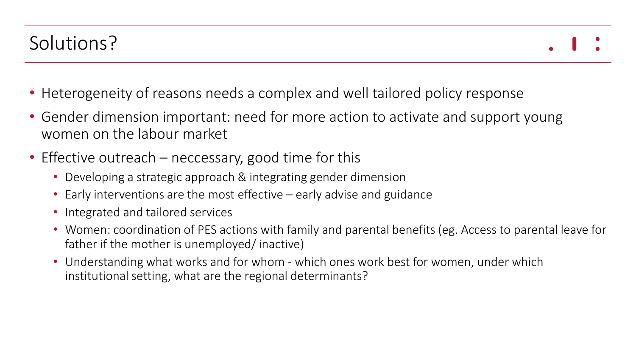- Heterogeneity of reasons needs a complex and well tailored policy response
- Gender dimension important: need for more action to activate and support young women on the labour market
- Effective outreach neccessary, good time for this
	- Developing a strategic approach & integrating gender dimension
	- Early interventions are the most effective early advise and guidance
	- Integrated and tailored services
	- Women: coordination of PES actions with family and parental benefits (eg. Access to parental leave for father if the mother is unemployed/ inactive)
	- Understanding what works and for whom which ones work best for women, under which institutional setting, what are the regional determinants?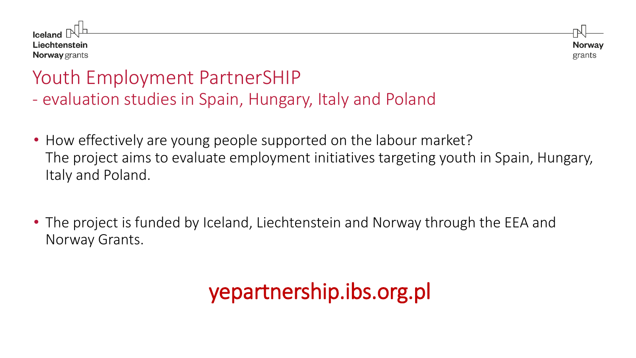

**Norway** grants

#### Youth Employment PartnerSHIP - evaluation studies in Spain, Hungary, Italy and Poland

- How effectively are young people supported on the labour market? The project aims to evaluate employment initiatives targeting youth in Spain, Hungary, Italy and Poland.
- The project is funded by Iceland, Liechtenstein and Norway through the EEA and Norway Grants.

# yepartnership.ibs.org.pl